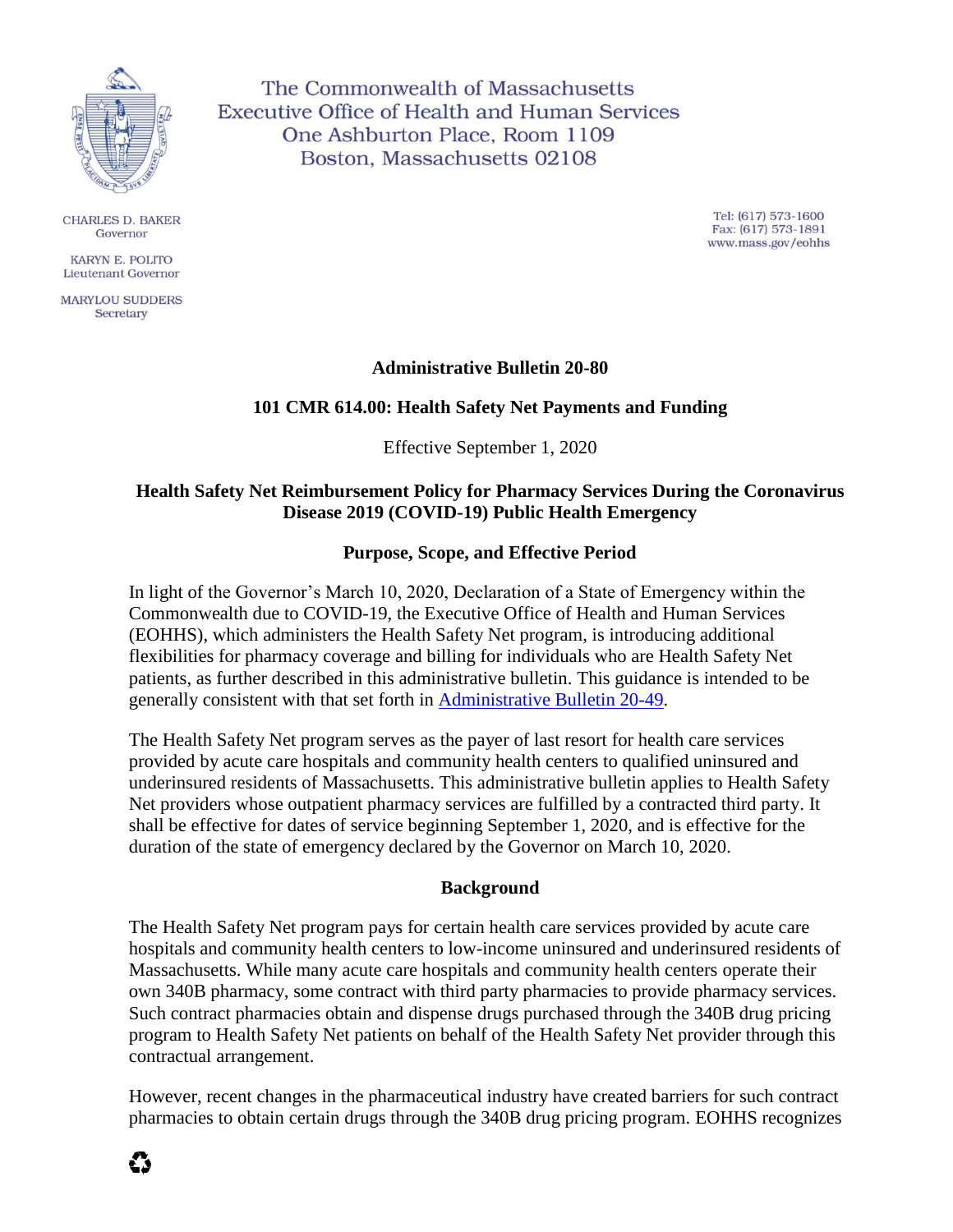

**CHARLES D. BAKER** Governor

KARYN E. POLITO Lieutenant Governor

**MARYLOU SUDDERS** Secretary

The Commonwealth of Massachusetts **Executive Office of Health and Human Services** One Ashburton Place, Room 1109 Boston, Massachusetts 02108

> Tel: (617) 573-1600 Fax: (617) 573-1891 www.mass.gov/eohhs

## **Administrative Bulletin 20-80**

# **101 CMR 614.00: Health Safety Net Payments and Funding**

Effective September 1, 2020

## **Health Safety Net Reimbursement Policy for Pharmacy Services During the Coronavirus Disease 2019 (COVID-19) Public Health Emergency**

## **Purpose, Scope, and Effective Period**

In light of the Governor's March 10, 2020, Declaration of a State of Emergency within the Commonwealth due to COVID-19, the Executive Office of Health and Human Services (EOHHS), which administers the Health Safety Net program, is introducing additional flexibilities for pharmacy coverage and billing for individuals who are Health Safety Net patients, as further described in this administrative bulletin. This guidance is intended to be generally consistent with that set forth in [Administrative Bulletin 20-49.](https://www.mass.gov/doc/administrative-bulletin-20-49-101-cmr-61300-health-safety-net-eligible-services-health-safety-0/download)

The Health Safety Net program serves as the payer of last resort for health care services provided by acute care hospitals and community health centers to qualified uninsured and underinsured residents of Massachusetts. This administrative bulletin applies to Health Safety Net providers whose outpatient pharmacy services are fulfilled by a contracted third party. It shall be effective for dates of service beginning September 1, 2020, and is effective for the duration of the state of emergency declared by the Governor on March 10, 2020.

## **Background**

The Health Safety Net program pays for certain health care services provided by acute care hospitals and community health centers to low-income uninsured and underinsured residents of Massachusetts. While many acute care hospitals and community health centers operate their own 340B pharmacy, some contract with third party pharmacies to provide pharmacy services. Such contract pharmacies obtain and dispense drugs purchased through the 340B drug pricing program to Health Safety Net patients on behalf of the Health Safety Net provider through this contractual arrangement.

However, recent changes in the pharmaceutical industry have created barriers for such contract pharmacies to obtain certain drugs through the 340B drug pricing program. EOHHS recognizes